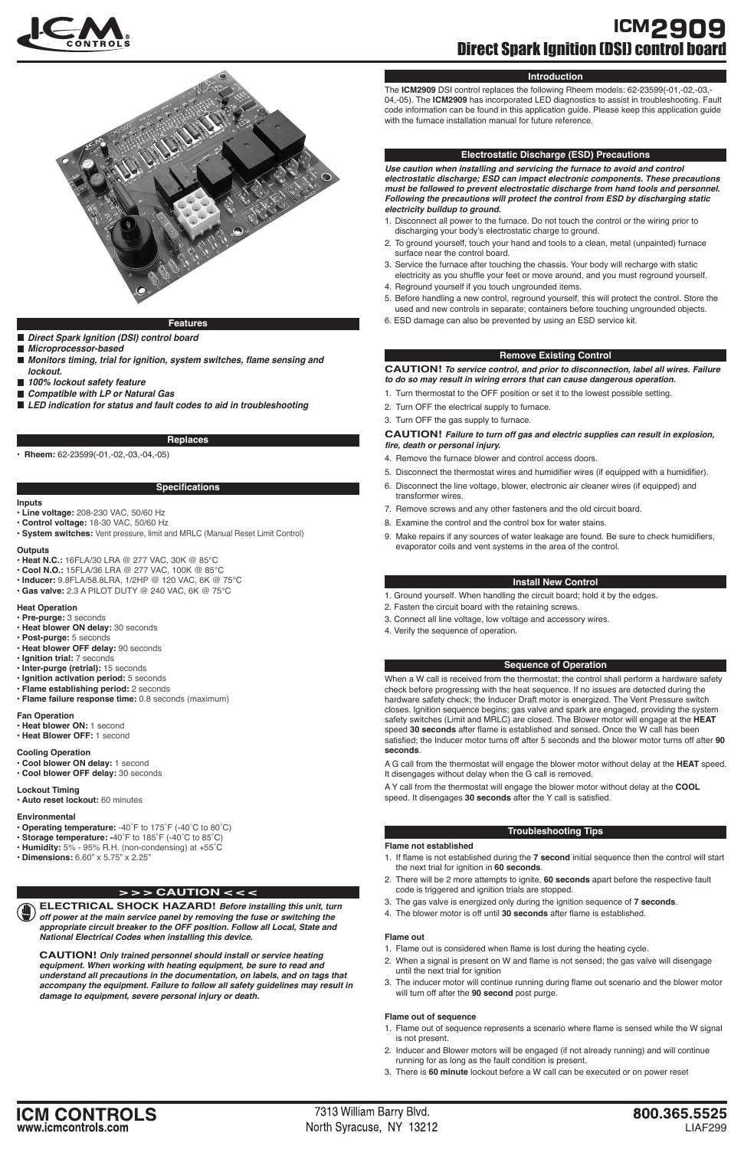

## **ICM2909** Direct Spark Ignition (DSI) control board

#### **Electrostatic Discharge (ESD) Precautions**

- 1. Disconnect all power to the furnace. Do not touch the control or the wiring prior to discharging your body's electrostatic charge to ground.
- 2. To ground yourself, touch your hand and tools to a clean, metal (unpainted) furnace surface near the control board.
- 3. Service the furnace after touching the chassis. Your body will recharge with static electricity as you shuffle your feet or move around, and you must reground yourself.
- 4. Reground yourself if you touch ungrounded items.
- 5. Before handling a new control, reground yourself, this will protect the control. Store the used and new controls in separate; containers before touching ungrounded objects.
- **Features 6.** ESD damage can also be prevented by using an ESD service kit.

**Use caution when installing and servicing the furnace to avoid and control electrostatic discharge; ESD can impact electronic components. These precautions must be followed to prevent electrostatic discharge from hand tools and personnel. Following the precautions will protect the control from ESD by discharging static electricity buildup to ground.**





- **Direct Spark Ignition (DSI) control board**
- **Microprocessor-based**
- **Monitors timing, trial for ignition, system switches, flame sensing and lockout.**
- **100% lockout safety feature**
- **Compatible with LP or Natural Gas**
- **LED indication for status and fault codes to aid in troubleshooting**

#### **Specifications**

#### **Replaces**

• **Rheem:** 62-23599(-01,-02,-03,-04,-05)

**ELECTRICAL SHOCK HAZARD! Before installing this unit, turn off power at the main service panel by removing the fuse or switching the appropriate circuit breaker to the OFF position. Follow all Local, State and National Electrical Codes when installing this device.**

**CAUTION! Only trained personnel should install or service heating equipment. When working with heating equipment, be sure to read and understand all precautions in the documentation, on labels, and on tags that accompany the equipment. Failure to follow all safety guidelines may result in damage to equipment, severe personal injury or death.**

### **> > > CAUTION < < <**

#### **Introduction**

The **ICM2909** DSI control replaces the following Rheem models: 62-23599(-01,-02,-03,- 04,-05). The **ICM2909** has incorporated LED diagnostics to assist in troubleshooting. Fault code information can be found in this application guide. Please keep this application guide with the furnace installation manual for future reference.

#### **Remove Existing Control**

**CAUTION! To service control, and prior to disconnection, label all wires. Failure to do so may result in wiring errors that can cause dangerous operation.**

- 1. Turn thermostat to the OFF position or set it to the lowest possible setting.
- 2. Turn OFF the electrical supply to furnace.
- 3. Turn OFF the gas supply to furnace.

#### **CAUTION! Failure to turn off gas and electric supplies can result in explosion, fire, death or personal injury.**

- 4. Remove the furnace blower and control access doors.
- 5. Disconnect the thermostat wires and humidifier wires (if equipped with a humidifier).
- 6. Disconnect the line voltage, blower, electronic air cleaner wires (if equipped) and transformer wires.
- 7. Remove screws and any other fasteners and the old circuit board.
- 8. Examine the control and the control box for water stains.
- 9. Make repairs if any sources of water leakage are found. Be sure to check humidifiers, evaporator coils and vent systems in the area of the control.

#### **Install New Control**

- 1. Ground yourself. When handling the circuit board; hold it by the edges.
- 2. Fasten the circuit board with the retaining screws.
- 3. Connect all line voltage, low voltage and accessory wires.
- 4. Verify the sequence of operation.

#### **Sequence of Operation**

When a W call is received from the thermostat; the control shall perform a hardware safety check before progressing with the heat sequence. If no issues are detected during the hardware safety check; the Inducer Draft motor is energized. The Vent Pressure switch closes. Ignition sequence begins; gas valve and spark are engaged, providing the system safety switches (Limit and MRLC) are closed. The Blower motor will engage at the **HEAT** speed **30 seconds** after flame is established and sensed. Once the W call has been satisfied; the Inducer motor turns off after 5 seconds and the blower motor turns off after **90 seconds**.

A G call from the thermostat will engage the blower motor without delay at the **HEAT** speed. It disengages without delay when the G call is removed.

A Y call from the thermostat will engage the blower motor without delay at the **COOL** speed. It disengages **30 seconds** after the Y call is satisfied.

#### **Troubleshooting Tips**

#### **Flame not established**

- 1. If flame is not established during the **7 second** initial sequence then the control will start the next trial for ignition in **60 seconds**.
- 2. There will be 2 more attempts to ignite, **60 seconds** apart before the respective fault code is triggered and ignition trials are stopped.
- 3. The gas valve is energized only during the ignition sequence of **7 seconds**.
- 4. The blower motor is off until **30 seconds** after flame is established.

#### **Flame out**

- 1. Flame out is considered when flame is lost during the heating cycle.
- 2. When a signal is present on W and flame is not sensed; the gas valve will disengage until the next trial for ignition
- 3. The inducer motor will continue running during flame out scenario and the blower motor will turn off after the **90 second** post purge.

#### **Flame out of sequence**

- 1. Flame out of sequence represents a scenario where flame is sensed while the W signal is not present.
- 2. Inducer and Blower motors will be engaged (if not already running) and will continue running for as long as the fault condition is present.
- 3. There is **60 minute** lockout before a W call can be executed or on power reset

**ICM CONTROLS** www.icmcontrols.com

7313 William Barry Blvd. North Syracuse, NY 13212

#### **Inputs**

- **Line voltage:** 208-230 VAC, 50/60 Hz
- **Control voltage:** 18-30 VAC, 50/60 Hz
- **System switches:** Vent pressure, limit and MRLC (Manual Reset Limit Control)

#### **Outputs**

- **Heat N.C.:** 16FLA/30 LRA @ 277 VAC, 30K @ 85°C
- **Cool N.O.:** 15FLA/36 LRA @ 277 VAC, 100K @ 85°C
- **Inducer:** 9.8FLA/58.8LRA, 1/2HP @ 120 VAC, 6K @ 75°C
- **Gas valve:** 2.3 A PILOT DUTY @ 240 VAC, 6K @ 75°C

#### **Heat Operation**

- **Pre-purge:** 3 seconds
- **Heat blower ON delay:** 30 seconds
- **Post-purge:** 5 seconds
- **Heat blower OFF delay:** 90 seconds
- **Ignition trial:** 7 seconds
- **Inter-purge (retrial):** 15 seconds
- **Ignition activation period:** 5 seconds
- **Flame establishing period:** 2 seconds
- **Flame failure response time:** 0.8 seconds (maximum)

#### **Fan Operation**

- **Heat blower ON:** 1 second
- **Heat Blower OFF:** 1 second

#### **Cooling Operation**

- **Cool blower ON delay:** 1 second
- **Cool blower OFF delay:** 30 seconds

#### **Lockout Timing**

**• Auto reset lockout:** 60 minutes

#### **Environmental**

- **Operating temperature:** -40˚F to 175˚F (-40˚C to 80˚C)
- **Storage temperature: -**40˚F to 185˚F (-40˚C to 85˚C)
- **Humidity:** 5% 95% R.H. (non-condensing) at +55˚C
- **Dimensions:** 6.60" x 5.75" x 2.25"